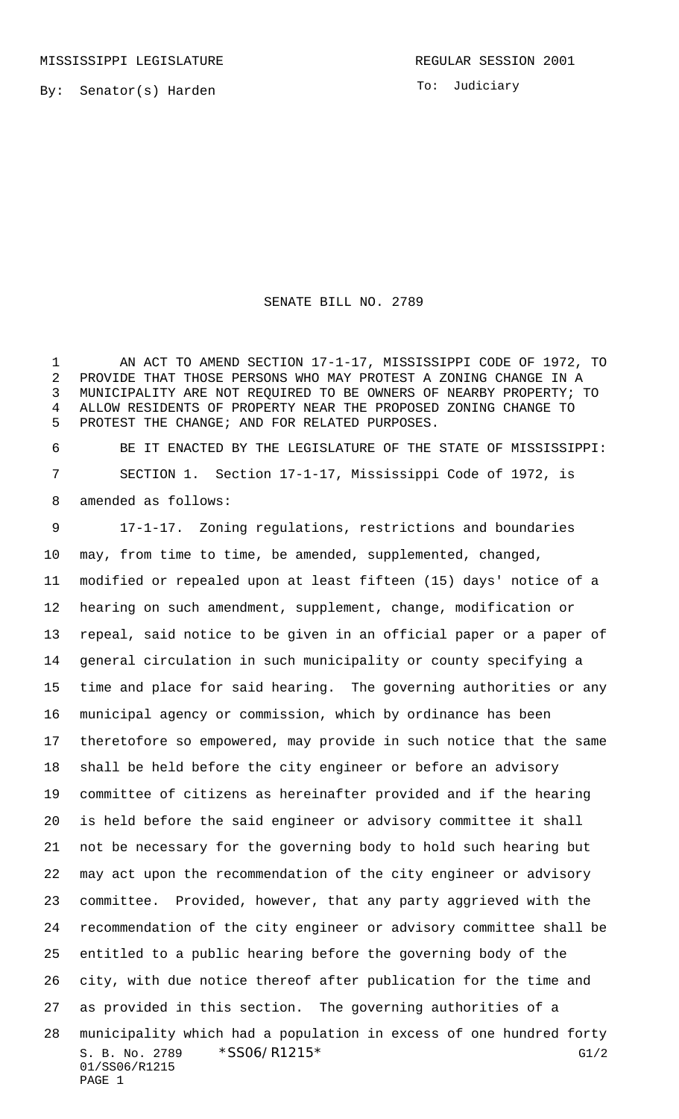To: Judiciary

## SENATE BILL NO. 2789

1 AN ACT TO AMEND SECTION 17-1-17, MISSISSIPPI CODE OF 1972, TO PROVIDE THAT THOSE PERSONS WHO MAY PROTEST A ZONING CHANGE IN A MUNICIPALITY ARE NOT REQUIRED TO BE OWNERS OF NEARBY PROPERTY; TO ALLOW RESIDENTS OF PROPERTY NEAR THE PROPOSED ZONING CHANGE TO PROTEST THE CHANGE; AND FOR RELATED PURPOSES.

 BE IT ENACTED BY THE LEGISLATURE OF THE STATE OF MISSISSIPPI: SECTION 1. Section 17-1-17, Mississippi Code of 1972, is amended as follows:

S. B. No. 2789 \* SSO6/R1215 \* G1/2 01/SS06/R1215 PAGE 1 17-1-17. Zoning regulations, restrictions and boundaries may, from time to time, be amended, supplemented, changed, modified or repealed upon at least fifteen (15) days' notice of a hearing on such amendment, supplement, change, modification or repeal, said notice to be given in an official paper or a paper of general circulation in such municipality or county specifying a time and place for said hearing. The governing authorities or any municipal agency or commission, which by ordinance has been theretofore so empowered, may provide in such notice that the same shall be held before the city engineer or before an advisory committee of citizens as hereinafter provided and if the hearing is held before the said engineer or advisory committee it shall not be necessary for the governing body to hold such hearing but may act upon the recommendation of the city engineer or advisory committee. Provided, however, that any party aggrieved with the recommendation of the city engineer or advisory committee shall be entitled to a public hearing before the governing body of the city, with due notice thereof after publication for the time and as provided in this section. The governing authorities of a municipality which had a population in excess of one hundred forty